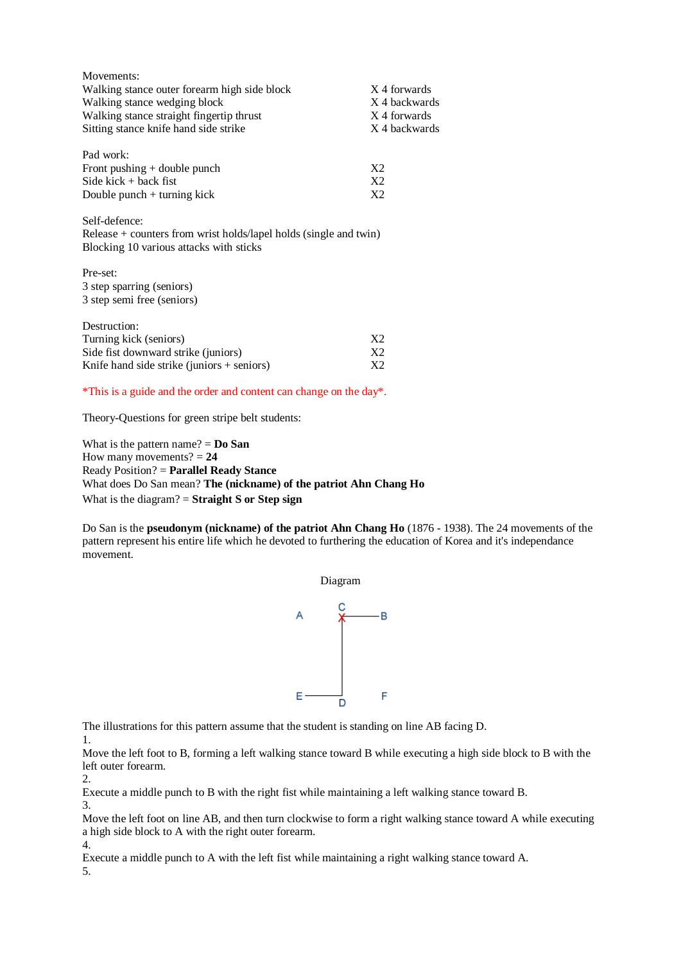| Movements:                                                                                                                      |                |
|---------------------------------------------------------------------------------------------------------------------------------|----------------|
| Walking stance outer forearm high side block                                                                                    | X 4 forwards   |
| Walking stance wedging block                                                                                                    | X 4 backwards  |
| Walking stance straight fingertip thrust                                                                                        | X 4 forwards   |
| Sitting stance knife hand side strike                                                                                           | X 4 backwards  |
| Pad work:                                                                                                                       |                |
| Front pushing $+$ double punch                                                                                                  | X <sub>2</sub> |
| Side kick $+$ back fist                                                                                                         | X <sub>2</sub> |
| Double punch $+$ turning kick                                                                                                   | X <sub>2</sub> |
| Self-defence:<br>Release $+$ counters from wrist holds/lapel holds (single and twin)<br>Blocking 10 various attacks with sticks |                |
| Pre-set:                                                                                                                        |                |
| 3 step sparring (seniors)                                                                                                       |                |
| 3 step semi free (seniors)                                                                                                      |                |
| Destruction:                                                                                                                    |                |
| Turning kick (seniors)                                                                                                          | X2             |
| Side fist downward strike (juniors)                                                                                             | X <sub>2</sub> |
| Knife hand side strike (juniors $+$ seniors)                                                                                    | X2             |

\*This is a guide and the order and content can change on the day\*.

Theory-Questions for green stripe belt students:

What is the pattern name? = **Do San** How many movements?  $= 24$ Ready Position? = **Parallel Ready Stance** What does Do San mean? **The (nickname) of the patriot Ahn Chang Ho** What is the diagram? = **Straight S or Step sign**

Do San is the **pseudonym (nickname) of the patriot Ahn Chang Ho** (1876 - 1938). The 24 movements of the pattern represent his entire life which he devoted to furthering the education of Korea and it's independance movement.



The illustrations for this pattern assume that the student is standing on line AB facing D.

1.

Move the left foot to B, forming a left walking stance toward B while executing a high side block to B with the left outer forearm.

2.

Execute a middle punch to B with the right fist while maintaining a left walking stance toward B.

3.

Move the left foot on line AB, and then turn clockwise to form a right walking stance toward A while executing a high side block to A with the right outer forearm.

Execute a middle punch to A with the left fist while maintaining a right walking stance toward A.

5.

4.